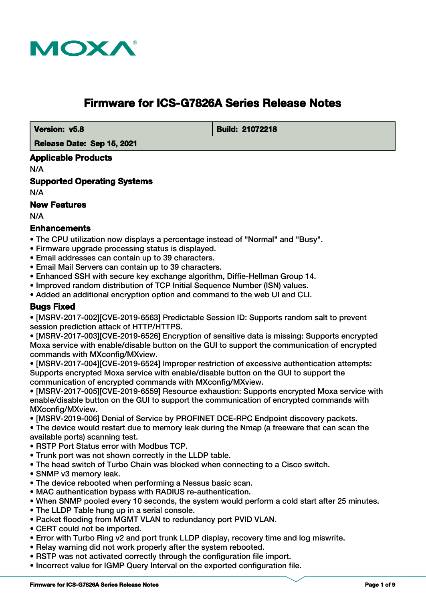

# **Firmware for ICS-G7826A Series Release Notes**

 **Version: v5.8 Build: 21072218** 

 **Release Date: Sep 15, 2021**

#### **Applicable Products**

N/A

**Supported Operating Systems**

N/A

#### **New Features**

N/A

# **Enhancements**

- The CPU utilization now displays a percentage instead of "Normal" and "Busy".
- Firmware upgrade processing status is displayed.
- Email addresses can contain up to 39 characters.
- Email Mail Servers can contain up to 39 characters.
- Enhanced SSH with secure key exchange algorithm, Diffie-Hellman Group 14.
- Improved random distribution of TCP Initial Sequence Number (ISN) values.
- Added an additional encryption option and command to the web UI and CLI.

# **Bugs Fixed**

• [MSRV-2017-002][CVE-2019-6563] Predictable Session ID: Supports random salt to prevent session prediction attack of HTTP/HTTPS.

• [MSRV-2017-003][CVE-2019-6526] Encryption of sensitive data is missing: Supports encrypted Moxa service with enable/disable button on the GUI to support the communication of encrypted commands with MXconfig/MXview.

• [MSRV-2017-004][CVE-2019-6524] Improper restriction of excessive authentication attempts: Supports encrypted Moxa service with enable/disable button on the GUI to support the communication of encrypted commands with MXconfig/MXview.

• [MSRV-2017-005][CVE-2019-6559] Resource exhaustion: Supports encrypted Moxa service with enable/disable button on the GUI to support the communication of encrypted commands with MXconfig/MXview.

- [MSRV-2019-006] Denial of Service by PROFINET DCE-RPC Endpoint discovery packets.
- The device would restart due to memory leak during the Nmap (a freeware that can scan the available ports) scanning test.
- RSTP Port Status error with Modbus TCP.
- Trunk port was not shown correctly in the LLDP table.
- The head switch of Turbo Chain was blocked when connecting to a Cisco switch.
- SNMP v3 memory leak.
- The device rebooted when performing a Nessus basic scan.
- MAC authentication bypass with RADIUS re-authentication.
- When SNMP pooled every 10 seconds, the system would perform a cold start after 25 minutes.
- The LLDP Table hung up in a serial console.
- Packet flooding from MGMT VLAN to redundancy port PVID VLAN.
- CERT could not be imported.
- Error with Turbo Ring v2 and port trunk LLDP display, recovery time and log miswrite.
- Relay warning did not work properly after the system rebooted.
- RSTP was not activated correctly through the configuration file import.
- Incorrect value for IGMP Query Interval on the exported configuration file.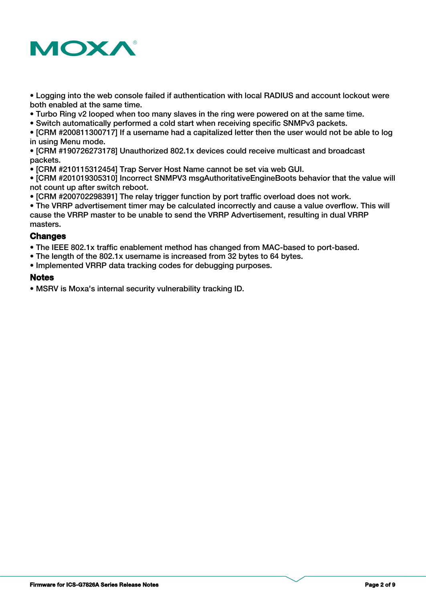

- Logging into the web console failed if authentication with local RADIUS and account lockout were both enabled at the same time.
- Turbo Ring v2 looped when too many slaves in the ring were powered on at the same time.
- Switch automatically performed a cold start when receiving specific SNMPv3 packets.

• [CRM #200811300717] If a username had a capitalized letter then the user would not be able to log in using Menu mode.

• [CRM #190726273178] Unauthorized 802.1x devices could receive multicast and broadcast packets.

• [CRM #210115312454] Trap Server Host Name cannot be set via web GUI.

• [CRM #201019305310] Incorrect SNMPV3 msgAuthoritativeEngineBoots behavior that the value will not count up after switch reboot.

• [CRM #200702298391] The relay trigger function by port traffic overload does not work.

• The VRRP advertisement timer may be calculated incorrectly and cause a value overflow. This will cause the VRRP master to be unable to send the VRRP Advertisement, resulting in dual VRRP masters.

#### **Changes**

• The IEEE 802.1x traffic enablement method has changed from MAC-based to port-based.

- The length of the 802.1x username is increased from 32 bytes to 64 bytes.
- Implemented VRRP data tracking codes for debugging purposes.

### **Notes**

• MSRV is Moxa's internal security vulnerability tracking ID.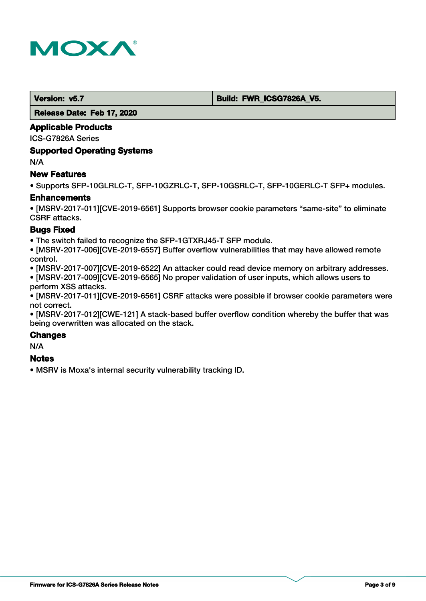

#### **Version: v5.7 Build: FWR\_ICSG7826A\_V5.**

 **Release Date: Feb 17, 2020**

#### **Applicable Products**

ICS-G7826A Series

#### **Supported Operating Systems**

N/A

#### **New Features**

• Supports SFP-10GLRLC-T, SFP-10GZRLC-T, SFP-10GSRLC-T, SFP-10GERLC-T SFP+ modules.

#### **Enhancements**

• [MSRV-2017-011][CVE-2019-6561] Supports browser cookie parameters "same-site" to eliminate CSRF attacks.

### **Bugs Fixed**

• The switch failed to recognize the SFP-1GTXRJ45-T SFP module.

• [MSRV-2017-006][CVE-2019-6557] Buffer overflow vulnerabilities that may have allowed remote control.

• [MSRV-2017-007][CVE-2019-6522] An attacker could read device memory on arbitrary addresses.

• [MSRV-2017-009][CVE-2019-6565] No proper validation of user inputs, which allows users to perform XSS attacks.

• [MSRV-2017-011][CVE-2019-6561] CSRF attacks were possible if browser cookie parameters were not correct.

• [MSRV-2017-012][CWE-121] A stack-based buffer overflow condition whereby the buffer that was being overwritten was allocated on the stack.

#### **Changes**

N/A

# **Notes**

• MSRV is Moxa's internal security vulnerability tracking ID.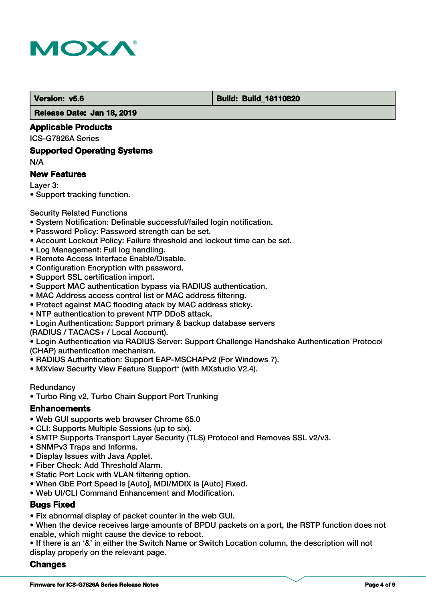

#### **Version: v5.6 Build: Build: Build: Build: 18110820**

 **Release Date: Jan 18, 2019**

#### **Applicable Products**

ICS-G7826A Series

#### **Supported Operating Systems**

N/A

#### **New Features**

Layer 3:

• Support tracking function.

#### Security Related Functions

- System Notification: Definable successful/failed login notification.
- Password Policy: Password strength can be set.
- Account Lockout Policy: Failure threshold and lockout time can be set.
- Log Management: Full log handling.
- Remote Access Interface Enable/Disable.
- Configuration Encryption with password.
- Support SSL certification import.
- Support MAC authentication bypass via RADIUS authentication.
- MAC Address access control list or MAC address filtering.
- Protect against MAC flooding atack by MAC address sticky.
- NTP authentication to prevent NTP DDoS attack.
- Login Authentication: Support primary & backup database servers
- (RADIUS / TACACS+ / Local Account).

• Login Authentication via RADIUS Server: Support Challenge Handshake Authentication Protocol (CHAP) authentication mechanism.

- RADIUS Authentication: Support EAP-MSCHAPv2 (For Windows 7).
- MXview Security View Feature Support\* (with MXstudio V2.4).

#### **Redundancy**

• Turbo Ring v2, Turbo Chain Support Port Trunking

#### **Enhancements**

- Web GUI supports web browser Chrome 65.0
- CLI: Supports Multiple Sessions (up to six).
- SMTP Supports Transport Layer Security (TLS) Protocol and Removes SSL v2/v3.
- SNMPv3 Traps and Informs.
- Display Issues with Java Applet.
- Fiber Check: Add Threshold Alarm.
- Static Port Lock with VLAN filtering option.
- When GbE Port Speed is [Auto], MDI/MDIX is [Auto] Fixed.
- Web UI/CLI Command Enhancement and Modification.

# **Bugs Fixed**

- Fix abnormal display of packet counter in the web GUI.
- When the device receives large amounts of BPDU packets on a port, the RSTP function does not enable, which might cause the device to reboot.

• If there is an '&' in either the Switch Name or Switch Location column, the description will not display properly on the relevant page.

### **Changes**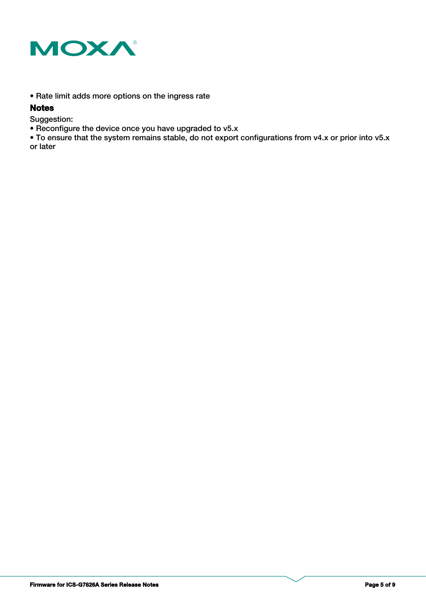

• Rate limit adds more options on the ingress rate

#### **Notes**

Suggestion:

• Reconfigure the device once you have upgraded to v5.x

• To ensure that the system remains stable, do not export configurations from v4.x or prior into v5.x or later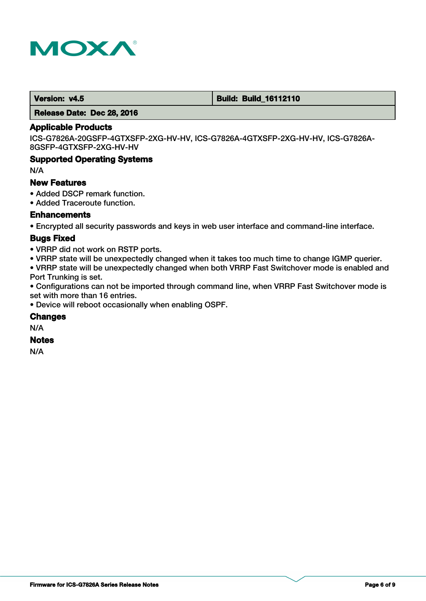

#### **Version: v4.5 Build: Build: Build: 16112110**

 **Release Date: Dec 28, 2016**

#### **Applicable Products**

ICS-G7826A-20GSFP-4GTXSFP-2XG-HV-HV, ICS-G7826A-4GTXSFP-2XG-HV-HV, ICS-G7826A-8GSFP-4GTXSFP-2XG-HV-HV

#### **Supported Operating Systems**

N/A

#### **New Features**

- Added DSCP remark function.
- Added Traceroute function.

#### **Enhancements**

• Encrypted all security passwords and keys in web user interface and command-line interface.

#### **Bugs Fixed**

- VRRP did not work on RSTP ports.
- VRRP state will be unexpectedly changed when it takes too much time to change IGMP querier.

• VRRP state will be unexpectedly changed when both VRRP Fast Switchover mode is enabled and Port Trunking is set.

• Configurations can not be imported through command line, when VRRP Fast Switchover mode is set with more than 16 entries.

• Device will reboot occasionally when enabling OSPF.

#### **Changes**

N/A

# **Notes**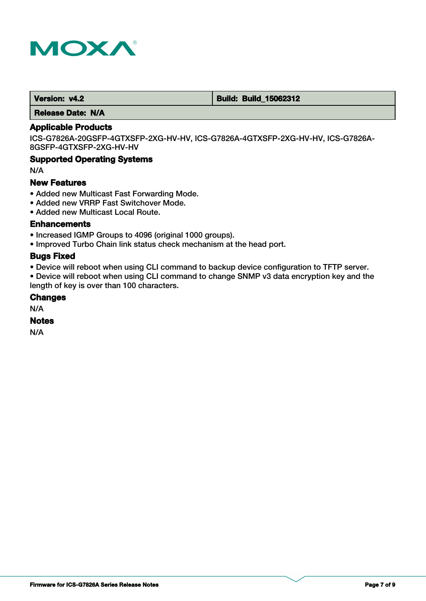

 **Version: v4.2 Build: Build: Build: 15062312** 

 **Release Date: N/A**

# **Applicable Products**

ICS-G7826A-20GSFP-4GTXSFP-2XG-HV-HV, ICS-G7826A-4GTXSFP-2XG-HV-HV, ICS-G7826A-8GSFP-4GTXSFP-2XG-HV-HV

### **Supported Operating Systems**

N/A

#### **New Features**

- Added new Multicast Fast Forwarding Mode.
- Added new VRRP Fast Switchover Mode.
- Added new Multicast Local Route.

#### **Enhancements**

- Increased IGMP Groups to 4096 (original 1000 groups).
- Improved Turbo Chain link status check mechanism at the head port.

#### **Bugs Fixed**

• Device will reboot when using CLI command to backup device configuration to TFTP server.

• Device will reboot when using CLI command to change SNMP v3 data encryption key and the length of key is over than 100 characters.

### **Changes**

N/A

### **Notes**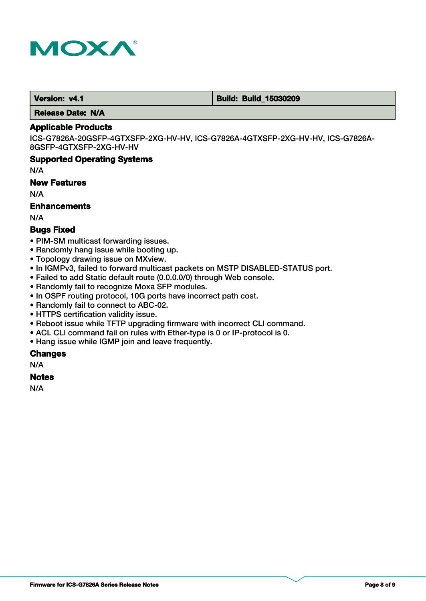

 **Version: v4.1 Build: Build: Build: 15030209** 

 **Release Date: N/A**

# **Applicable Products**

ICS-G7826A-20GSFP-4GTXSFP-2XG-HV-HV, ICS-G7826A-4GTXSFP-2XG-HV-HV, ICS-G7826A-8GSFP-4GTXSFP-2XG-HV-HV

#### **Supported Operating Systems**

N/A

#### **New Features**

N/A

# **Enhancements**

N/A

# **Bugs Fixed**

- PIM-SM multicast forwarding issues.
- Randomly hang issue while booting up.
- Topology drawing issue on MXview.
- In IGMPv3, failed to forward multicast packets on MSTP DISABLED-STATUS port.
- Failed to add Static default route (0.0.0.0/0) through Web console.
- Randomly fail to recognize Moxa SFP modules.
- In OSPF routing protocol, 10G ports have incorrect path cost.
- Randomly fail to connect to ABC-02.
- HTTPS certification validity issue.
- Reboot issue while TFTP upgrading firmware with incorrect CLI command.
- ACL CLI command fail on rules with Ether-type is 0 or IP-protocol is 0.
- Hang issue while IGMP join and leave frequently.

#### **Changes**

N/A

#### **Notes**